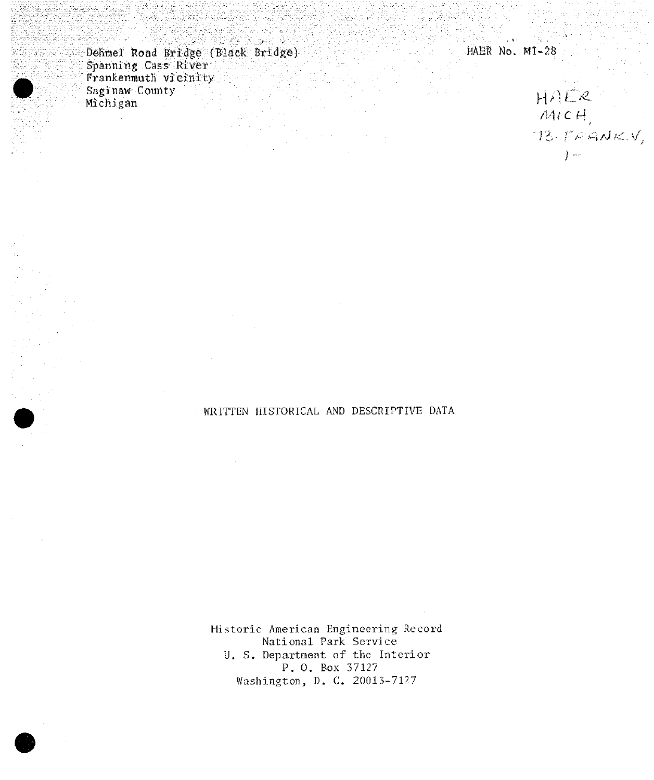Dehmel Road Bridge (Black Bridge) Spanning Cass River Saginaw County Michigan

HAER No. M1-28

## $HAER$ <br>
MICH,<br>
73. FRANK.V,<br>
)-

## WRITTEN HISTORICAL AND DESCRIPTIVE DATA

Historic American Engineering Record National Park Service U. S. Department of the Interior P. O. Box 37127 Washington, D. C. 20013-7127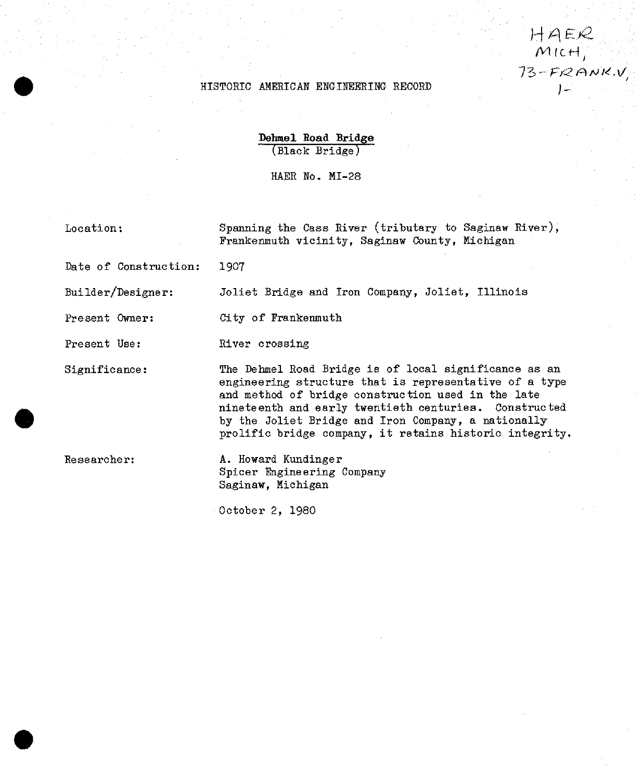## HISTORIC AMERICAN ENGINEERING RECORD

**Dehmel Soad Bridge** (Black Bridge)

HAER No. MI-28

Location:

Spanning the Cass River (tributary to Saginaw River), Frankenmuth vicinity, Saginaw County, Michigan

 $HAER$  $Mict$  $73-FRANKN$ 

Date of Construction; 1907

Builder/Designer: Joliet Bridge and Iron Company, Joliet, Illinois

Present Owner: City of Frankenmuth

Present Use: River crossing

Significance: The Dehmel Road Bridge is of local significance as an engineering structure that is representative of a type and method of bridge construction used in the late nineteenth and early twentieth centuries. Constructed by the Joliet Bridge and Iron Company, a nationally prolific bridge company, it retains historic integrity,

Researcher: A. Howard Kundinger Spicer Engineering Company Saginaw, Michigan

October 2, 1980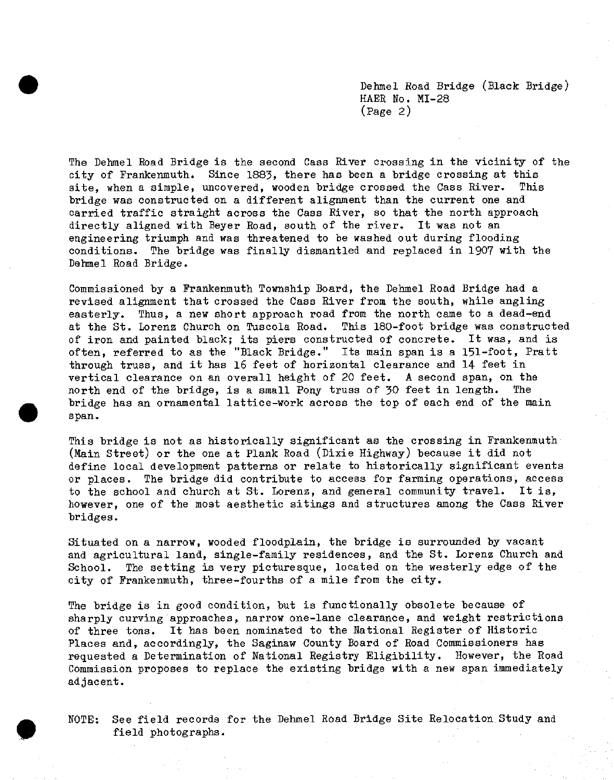Dehmel Road Bridge (Black Bridge) HAER No. MI-28 (Page 2)

The Dehmel Road Bridge is the second Cass River crossing in the vicinity of the city of Frankenmuth. Since 1883» there has been a bridge crossing at this site, when a simple, uncovered, wooden bridge crossed the Cass River. This bridge was constructed on a different alignment than the current one and carried traffic straight across the Cass River, so that the north approach directly aligned with Beyer Road, south of the river. It was not an engineering triumph and was threatened to be washed out during flooding conditions. The bridge was finally dismantled and replaced in 1907 with the Dehmel Road Bridge.

Commissioned by a Frankenmuth Township Board, the Dehmel Road Bridge had a revised alignment that crossed the Cass River from the south, while angling easterly. Thus, a new short approach road from the north came to a dead-end at the St. Lorenz Church on Tuscola Road. This 180-foot bridge was constructed of iron and painted black; its piers constructed of concrete. It was, and is often, referred to as the "Black Bridge." Its main span is a 151-foot, Pratt through truss, and it has 16 feet of horizontal clearance and 14 feet in vertical clearance on an overall height of 20 feet. A second span, on the north end of the bridge, is a small Pony truss of 30 feet in length. The bridge has an ornamental lattice-work across the top of each end of the main span.

This bridge is not as historically significant as the crossing in Frankenmuth (Main Street) or the one at Plank Road (Dixie Highway) because it did not define local development patterns or relate to historically significant events or places. The bridge did contribute to access for farming operations, access to the school and church at St. Lorenz, and general community travel. It is, however, one of the most aesthetic sitings and structures among the Cass River bridges.

Situated on a narrow, wooded floodplain, the bridge is surrounded by vacant and agricultural land, single-family residences, and the St. Lorenz Church and School. The setting is very picturesque, located on the westerly edge of the city of Frankenmuth, three-fourths of a mile from the city.

The bridge is in good condition, but is functionally obsolete because of sharply curving approaches, narrow one-lane clearance, and weight restrictions of three tons. It has been nominated to the National Register of Historic Places and, accordingly, the Saginaw County Board of Road Commissioners has requested a Determination of National Registry Eligibility. However, the Road Commission proposes to replace the existing bridge with a new span immediately adjacent.

NOTE: See field records for the Dehmel Road Bridge Site Relocation Study and field photographs.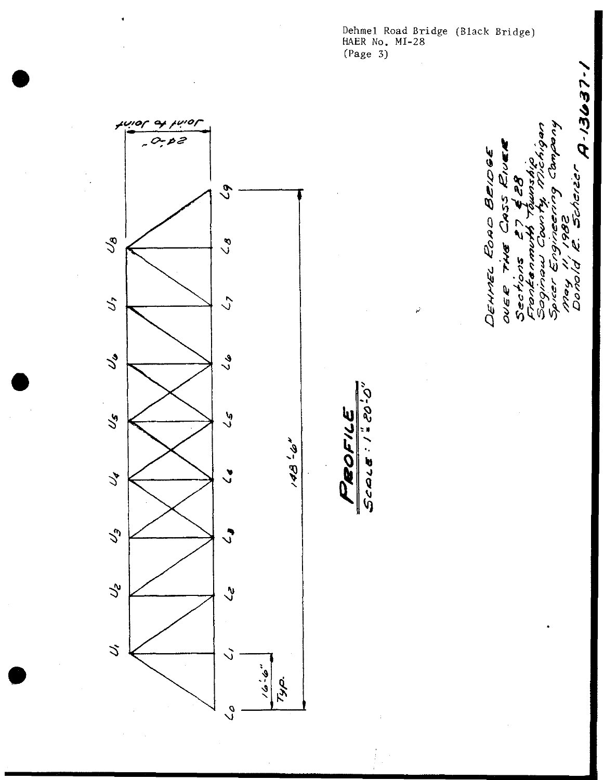Dehmel Road Bridge (Black Bridge)<br>HAER No. MI-28<br>(Page 3)

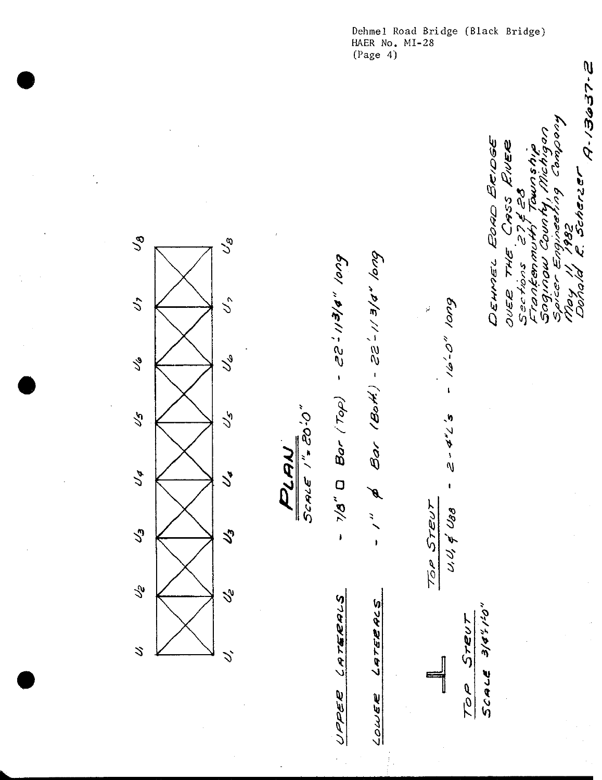HAER No. MI-28<br>(Page 4) E. Scherzer A-13637-2 huodwo buyaavibu Lot DEHMEL EDAD BRIDGE RNER べっぺ  $\tilde{c}$ CASS County  $\tilde{z}$ 1982  $\mathcal{C}_{\Theta}$  $\mathcal{S}_{\mathcal{O}}$ Frankenmum THE -  $1''$  & Bar (Both) - 22-113/8" long - 1/8" Den (201) - 25 VOD Sognow Ŋ Sections Spicer Doina) OUER  $\mathcal{L}$ - 16-0" pr  $\mathcal{S}^{\theta}$  $5c$ ALE  $1''$ =  $20'.0''$  $\sqrt{2}$  $z^2$  ,  $4^{\prime\prime}$   $\angle$   $\sim$ PLAN  $\mathcal{L}^*$  $\bar{\mathbf{I}}$ TOP STEUT  $U,U$ ,  $\neq U$ BB  $\sqrt{3}$ V LATERALS LATERALS SCALE 3/0"10"  $5$ reu $\tau$  $\mathcal{S}$  $\mathcal{L}$ 700 UPPER LOWER

Dehmel Road Bridge (Black Bridge)

 $\mathcal{L}$ 16  $\sqrt{2}$ Jø  $\sqrt{3}$  $\mathcal{S}$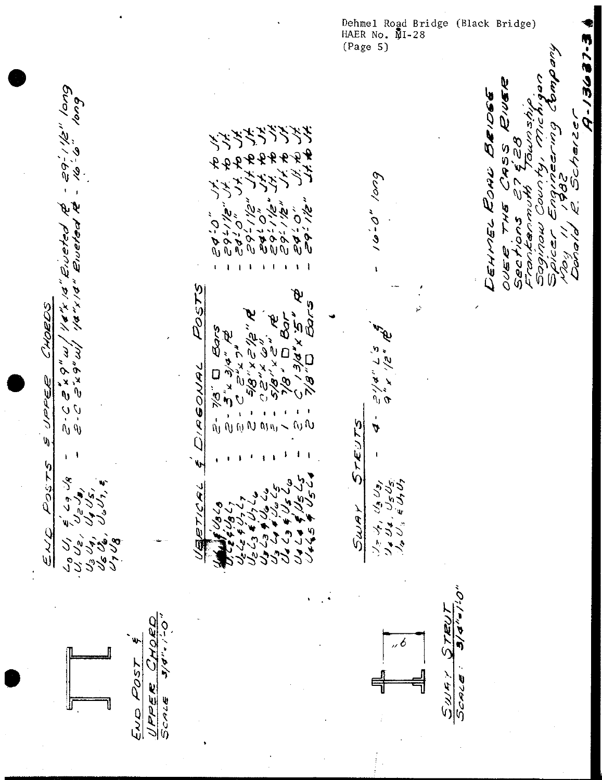Dehmel Road Bridge (Black Bridge)<br>HAER No. MI-28  $(Page 5)$ 

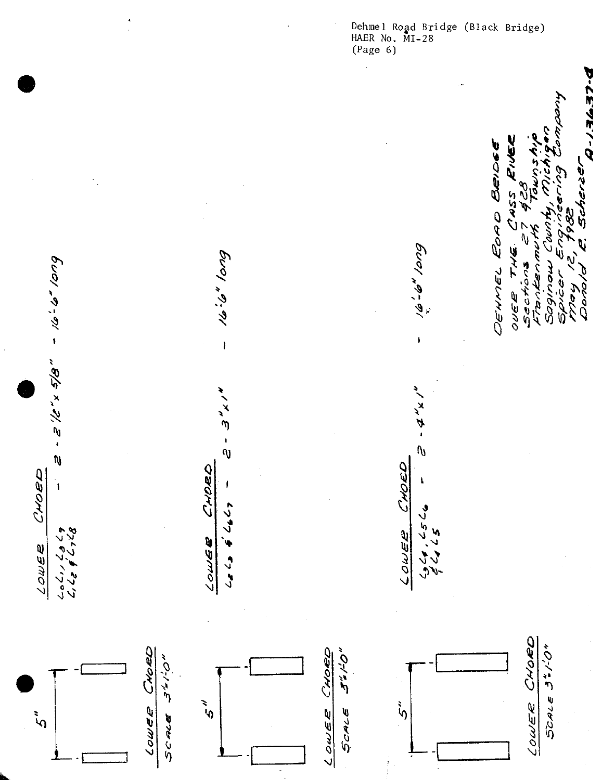Dehmel Road Bridge (Black Bridge)<br>HAER No. MI-28<br>(Page 6)

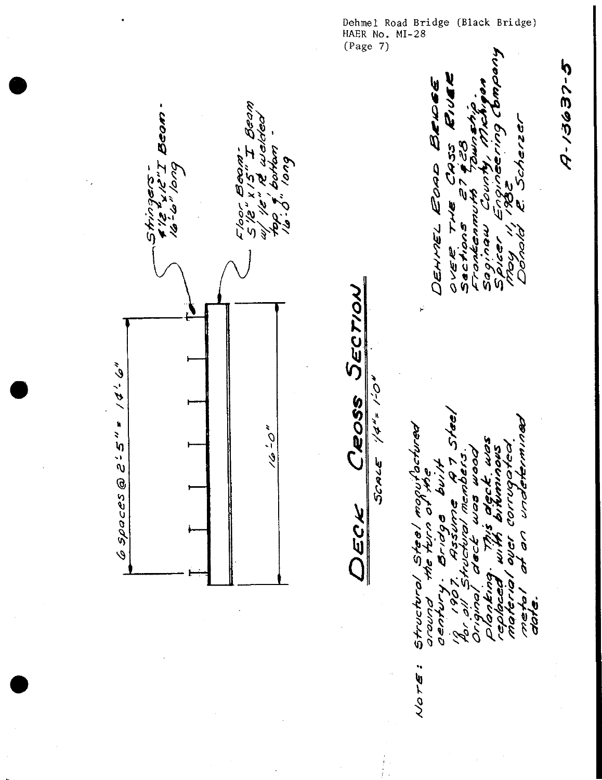Dehmel Road Bridge (Black Bridge)<br>HAER No. MI-28<br>(Page 7) **5-25951-D** Ž BELO につぞ こうハリク  $\frac{1}{2}$ Ю **SS67** DEHMEL EORD i<br>S  $\tilde{\theta}$ レンイ اسم دمان g んど Sactions しのう ź 92/6 06.00 0 VER ETOR yori Sopi  $\overline{0}$ SECTION ý. ا حا به ک  $0 - 1 = 10$ Ceoss  $6$  spaces @ 2'5" \*  $\frac{6}{3}$ הסכתחו ביט برات تصرفته بستدريمها و a<br>S corrugatea SCALE Ý JOON りとい がのだ  $\overline{\mathsf{V}}$ (၂<br>ပါ S<br>S ó. ن<br>مارچ š ົດ the 1 l Structura とりつとい مدهني orvoro date ري.<br>م ģ 0110 C E/T ò Q  $\ddot{\phantom{0}}$ NOTE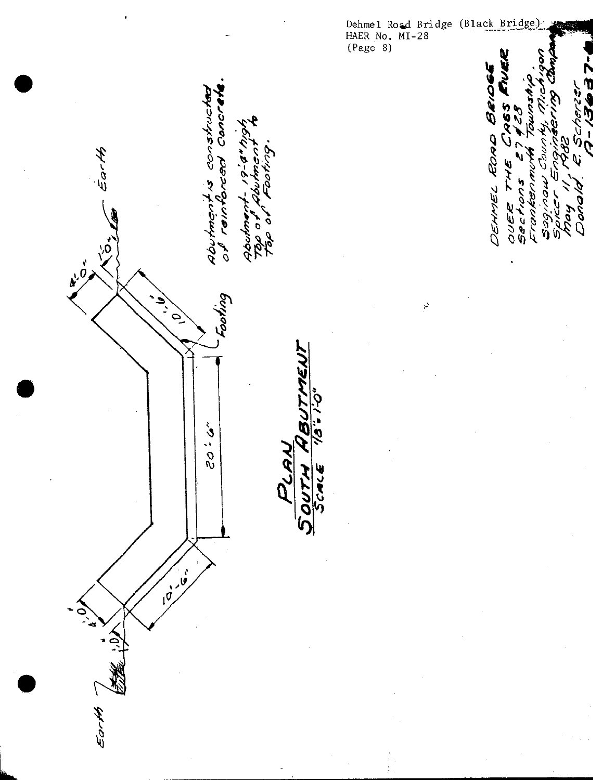Dehmel Road Bridge (Black Bridge) HAER No. MI-28 (Page 8) TIVER -13637-BRIDG Concrete constructor ふこん 465 28 ą DEHMEL ROAD<br>OUER THE CI<br>Bechons 274 (N **S^^ J^** 91-14 **5 FHE**<br>1075 L<br>KENMIK<br>104 COL rentorced 7007 ৻ 0007 بماهرن Fran, i<br>Vor ייסדונאיטבריך.<br>קאם בעבד 509 top o ia<br>Q Abur <u>ုဝ</u>  $\tilde{o}$  $\vec{r}$ ن ماه<br>مره ب puyooy **ATH** 0-1 = 9/1 **18UT**  $3.05$ しいへん 57  $\frac{10^{10}}{10^{10}}$ Earth